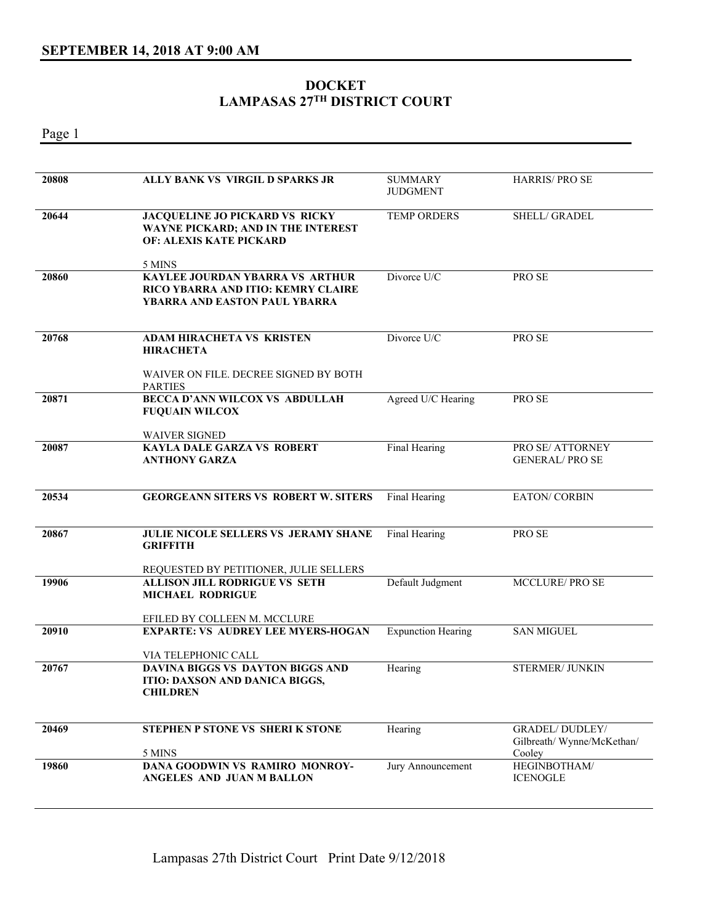## **DOCKET LAMPASAS 27TH DISTRICT COURT**

Page 1 **20808 ALLY BANK VS VIRGIL D SPARKS JR SUMMARY** JUDGMENT HARRIS/ PRO SE **20644 JACQUELINE JO PICKARD VS RICKY WAYNE PICKARD; AND IN THE INTEREST OF: ALEXIS KATE PICKARD**  5 MINS TEMP ORDERS SHELL/ GRADEL **20860 KAYLEE JOURDAN YBARRA VS ARTHUR RICO YBARRA AND ITIO: KEMRY CLAIRE YBARRA AND EASTON PAUL YBARRA**  Divorce U/C PRO SE **20768 ADAM HIRACHETA VS KRISTEN HIRACHETA**  WAIVER ON FILE. DECREE SIGNED BY BOTH PARTIES Divorce U/C PRO SE **20871 BECCA D'ANN WILCOX VS ABDULLAH FUQUAIN WILCOX**  WAIVER SIGNED Agreed U/C Hearing PRO SE **20087 KAYLA DALE GARZA VS ROBERT ANTHONY GARZA**  Final Hearing PRO SE/ ATTORNEY GENERAL/ PRO SE **20534 GEORGEANN SITERS VS ROBERT W. SITERS** Final Hearing EATON/ CORBIN **20867 JULIE NICOLE SELLERS VS JERAMY SHANE GRIFFITH**  REQUESTED BY PETITIONER, JULIE SELLERS Final Hearing PRO SE **19906 ALLISON JILL RODRIGUE VS SETH MICHAEL RODRIGUE**  EFILED BY COLLEEN M. MCCLURE Default Judgment MCCLURE/ PRO SE **20910 EXPARTE: VS AUDREY LEE MYERS-HOGAN**  VIA TELEPHONIC CALL Expunction Hearing SAN MIGUEL **20767 DAVINA BIGGS VS DAYTON BIGGS AND ITIO: DAXSON AND DANICA BIGGS, CHILDREN**  Hearing STERMER/ JUNKIN **20469 STEPHEN P STONE VS SHERI K STONE**  5 MINS Hearing GRADEL/ DUDLEY/ Gilbreath/ Wynne/McKethan/ Cooley<br>HEGINBOTHAM/ **19860 DANA GOODWIN VS RAMIRO MONROY-ANGELES AND JUAN M BALLON**  Jury Announcement ICENOGLE